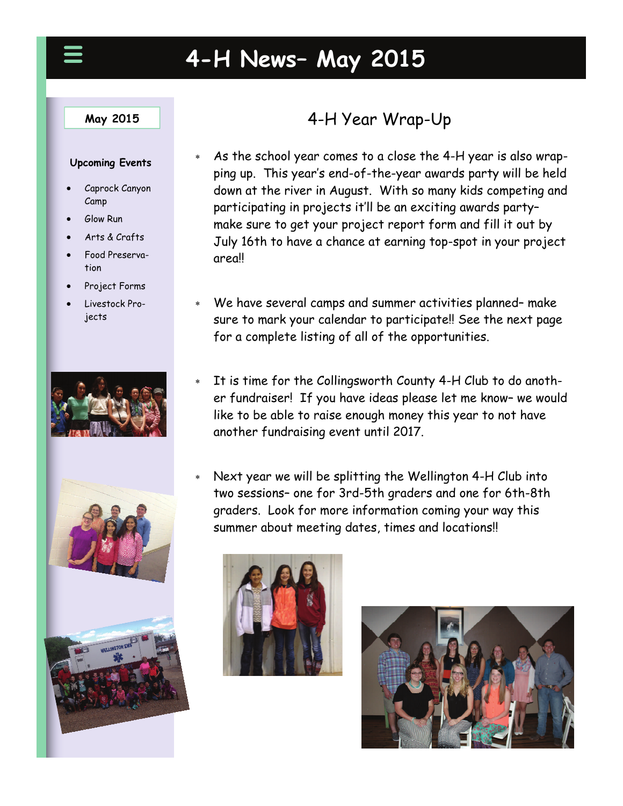# **4-H News– May 2015**

#### **May 2015**

#### **Upcoming Events**

- Caprock Canyon Camp
- Glow Run
- Arts & Crafts
- Food Preservation
- Project Forms
- Livestock Projects



# 4-H Year Wrap-Up

- As the school year comes to a close the 4-H year is also wrapping up. This year's end-of-the-year awards party will be held down at the river in August. With so many kids competing and participating in projects it'll be an exciting awards party– make sure to get your project report form and fill it out by July 16th to have a chance at earning top-spot in your project area!!
- We have several camps and summer activities planned– make sure to mark your calendar to participate!! See the next page for a complete listing of all of the opportunities.
- It is time for the Collingsworth County 4-H Club to do another fundraiser! If you have ideas please let me know– we would like to be able to raise enough money this year to not have another fundraising event until 2017.
- Next year we will be splitting the Wellington 4-H Club into two sessions– one for 3rd-5th graders and one for 6th-8th graders. Look for more information coming your way this summer about meeting dates, times and locations!!



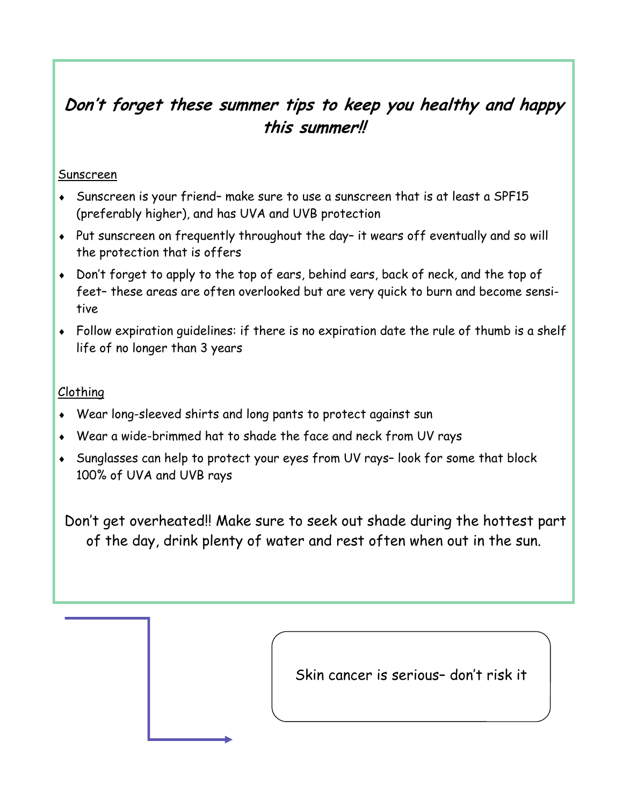# **Don't forget these summer tips to keep you healthy and happy this summer!!**

#### Sunscreen

- Sunscreen is your friend– make sure to use a sunscreen that is at least a SPF15 (preferably higher), and has UVA and UVB protection
- Put sunscreen on frequently throughout the day– it wears off eventually and so will the protection that is offers
- Don't forget to apply to the top of ears, behind ears, back of neck, and the top of feet– these areas are often overlooked but are very quick to burn and become sensitive
- Follow expiration guidelines: if there is no expiration date the rule of thumb is a shelf life of no longer than 3 years

### Clothing

- Wear long-sleeved shirts and long pants to protect against sun
- Wear a wide-brimmed hat to shade the face and neck from UV rays
- Sunglasses can help to protect your eyes from UV rays– look for some that block 100% of UVA and UVB rays

Don't get overheated!! Make sure to seek out shade during the hottest part of the day, drink plenty of water and rest often when out in the sun.

Skin cancer is serious– don't risk it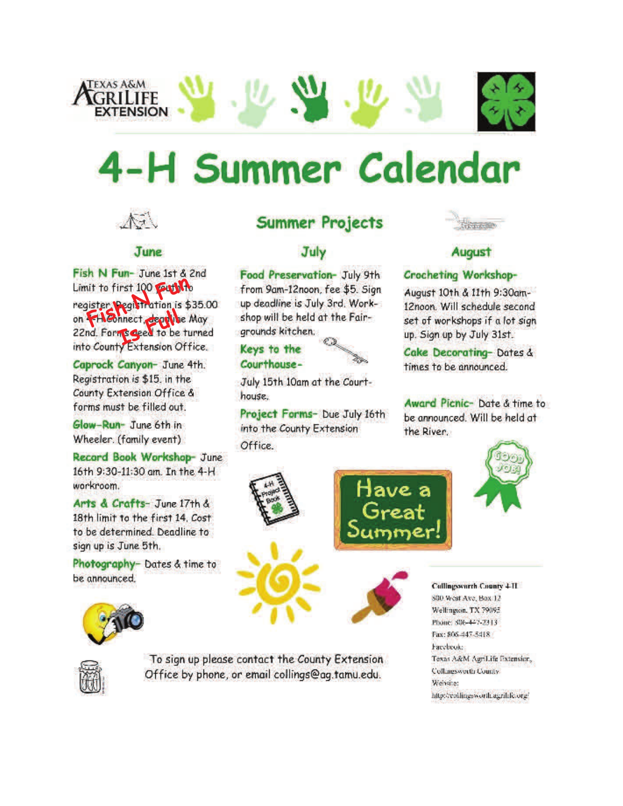

# 4-H Summer Calendar



#### **June**

Fish N Fun- June 1st & 2nd Limit to first 100 put to register Pegistration is \$35.00 on Heonnect, deputy May 22nd. Form's aged to be turned into County Extension Office.

Caprock Canyon- June 4th. Registration is \$15, in the County Extension Office & forms must be filled out.

Glow-Run- June 6th in Wheeler. (family event)

Record Book Workshop- June 16th 9:30-11:30 am. In the 4-H workroom.

Arts & Crafts- June 17th & 18th limit to the first 14. Cost to be determined. Deadline to sign up is June 5th.

Photography- Dates & time to be announced.



To sign up please contact the County Extension Office by phone, or email collings@ag.tamu.edu.

## **Summer Projects**

## July

Food Preservation- July 9th from 9am-12noon, fee \$5. Sign up deadline is July 3rd. Workshop will be held at the Fairgrounds kitchen.

#### Keys to the Courthouse-



July 15th 10am at the Courthouse.

Project Forms- Due July 16th into the County Extension Office.



## **August**

#### Crocheting Workshop-

August 10th & 11th 9:30am-12noon. Will schedule second set of workshops if a lot sign up. Sign up by July 31st.

Cake Decorating-Dates & times to be announced.

Award Picnic- Date & time to be announced. Will be held at the River.





#### **Cullingsworth County 4-11** 800 West Ave, Bax 12 Wellington, TX 79095. Phone: 806-447-2313 Fax: 806-447-5418 Facebook: Texas A&M AgriLife Extension, **Collagsworth County** Website: http://collingsworth.agrifife.org/